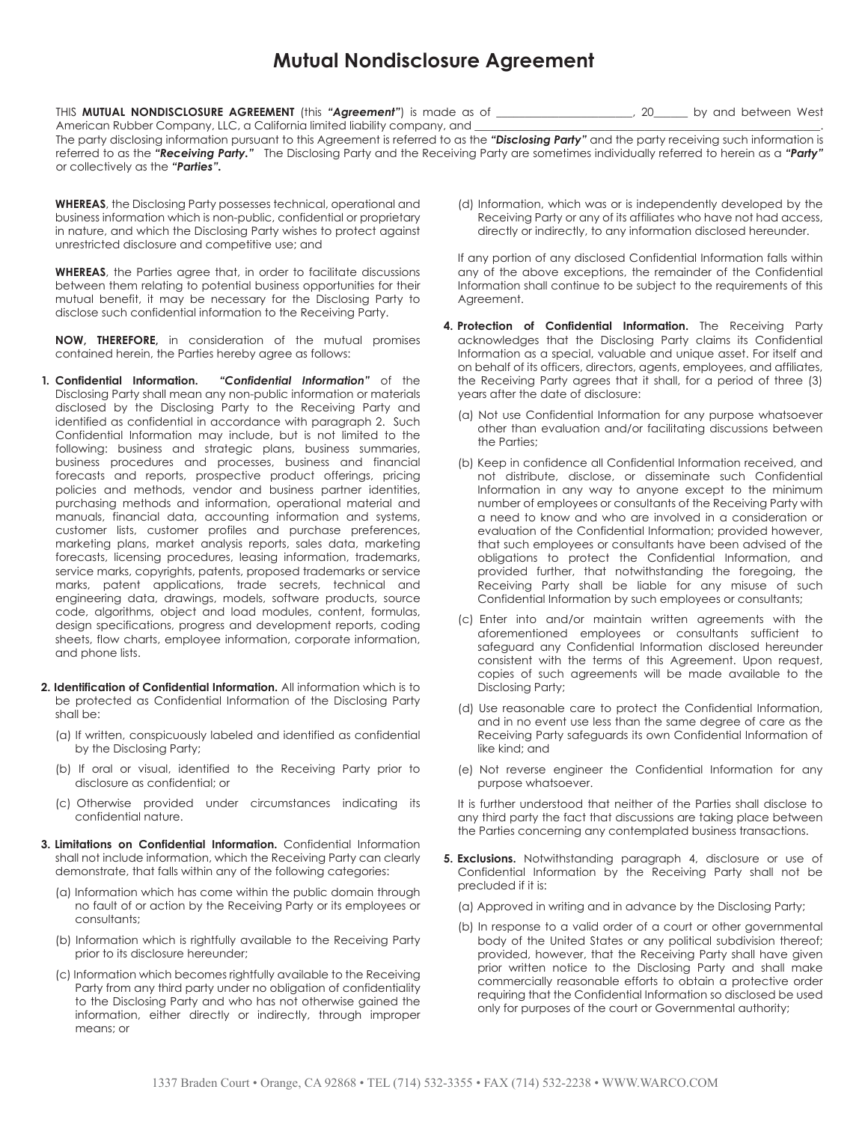## **Mutual Nondisclosure Agreement**

THIS **MUTUAL NONDISCLOSURE AGREEMENT** (this *"Agreement"*) is made as of \_\_\_\_\_\_\_\_\_\_\_\_\_\_\_\_\_\_\_\_\_\_\_\_, 20\_\_\_\_\_\_ by and between West American Rubber Company, LLC, a California limited liability company, and

The party disclosing information pursuant to this Agreement is referred to as the *"Disclosing Party"* and the party receiving such information is referred to as the *"Receiving Party."* The Disclosing Party and the Receiving Party are sometimes individually referred to herein as a *"Party"* or collectively as the *"Parties".*

**WHEREAS**, the Disclosing Party possesses technical, operational and business information which is non-public, confidential or proprietary in nature, and which the Disclosing Party wishes to protect against unrestricted disclosure and competitive use; and

**WHEREAS**, the Parties agree that, in order to facilitate discussions between them relating to potential business opportunities for their mutual benefit, it may be necessary for the Disclosing Party to disclose such confidential information to the Receiving Party.

**NOW, THEREFORE,** in consideration of the mutual promises contained herein, the Parties hereby agree as follows:

- **1. Confidential Information.** *"Confidential Information"* of the Disclosing Party shall mean any non-public information or materials disclosed by the Disclosing Party to the Receiving Party and identified as confidential in accordance with paragraph 2. Such Confidential Information may include, but is not limited to the following: business and strategic plans, business summaries, business procedures and processes, business and financial forecasts and reports, prospective product offerings, pricing policies and methods, vendor and business partner identities, purchasing methods and information, operational material and manuals, financial data, accounting information and systems, customer lists, customer profiles and purchase preferences, marketing plans, market analysis reports, sales data, marketing forecasts, licensing procedures, leasing information, trademarks, service marks, copyrights, patents, proposed trademarks or service marks, patent applications, trade secrets, technical and engineering data, drawings, models, software products, source code, algorithms, object and load modules, content, formulas, design specifications, progress and development reports, coding sheets, flow charts, employee information, corporate information, and phone lists.
- **2. Identification of Confidential Information.** All information which is to be protected as Confidential Information of the Disclosing Party shall be:
	- (a) If written, conspicuously labeled and identified as confidential by the Disclosing Party;
	- (b) If oral or visual, identified to the Receiving Party prior to disclosure as confidential; or
	- (c) Otherwise provided under circumstances indicating its confidential nature.
- **3. Limitations on Confidential Information.** Confidential Information shall not include information, which the Receiving Party can clearly demonstrate, that falls within any of the following categories:
	- (a) Information which has come within the public domain through no fault of or action by the Receiving Party or its employees or consultants;
	- (b) Information which is rightfully available to the Receiving Party prior to its disclosure hereunder;
	- (c) Information which becomes rightfully available to the Receiving Party from any third party under no obligation of confidentiality to the Disclosing Party and who has not otherwise gained the information, either directly or indirectly, through improper means; or

(d) Information, which was or is independently developed by the Receiving Party or any of its affiliates who have not had access, directly or indirectly, to any information disclosed hereunder.

If any portion of any disclosed Confidential Information falls within any of the above exceptions, the remainder of the Confidential Information shall continue to be subject to the requirements of this Agreement.

- **4. Protection of Confidential Information.** The Receiving Party acknowledges that the Disclosing Party claims its Confidential Information as a special, valuable and unique asset. For itself and on behalf of its officers, directors, agents, employees, and affiliates, the Receiving Party agrees that it shall, for a period of three (3) years after the date of disclosure:
	- (a) Not use Confidential Information for any purpose whatsoever other than evaluation and/or facilitating discussions between the Parties;
	- (b) Keep in confidence all Confidential Information received, and not distribute, disclose, or disseminate such Confidential Information in any way to anyone except to the minimum number of employees or consultants of the Receiving Party with a need to know and who are involved in a consideration or evaluation of the Confidential Information; provided however, that such employees or consultants have been advised of the obligations to protect the Confidential Information, and provided further, that notwithstanding the foregoing, the Receiving Party shall be liable for any misuse of such Confidential Information by such employees or consultants;
	- (c) Enter into and/or maintain written agreements with the aforementioned employees or consultants sufficient to safeguard any Confidential Information disclosed hereunder consistent with the terms of this Agreement. Upon request, copies of such agreements will be made available to the Disclosing Party;
	- (d) Use reasonable care to protect the Confidential Information, and in no event use less than the same degree of care as the Receiving Party safeguards its own Confidential Information of like kind; and
	- (e) Not reverse engineer the Confidential Information for any purpose whatsoever.

It is further understood that neither of the Parties shall disclose to any third party the fact that discussions are taking place between the Parties concerning any contemplated business transactions.

- **5. Exclusions.** Notwithstanding paragraph 4, disclosure or use of Confidential Information by the Receiving Party shall not be precluded if it is:
	- (a) Approved in writing and in advance by the Disclosing Party;
	- (b) In response to a valid order of a court or other governmental body of the United States or any political subdivision thereof; provided, however, that the Receiving Party shall have given prior written notice to the Disclosing Party and shall make commercially reasonable efforts to obtain a protective order requiring that the Confidential Information so disclosed be used only for purposes of the court or Governmental authority;